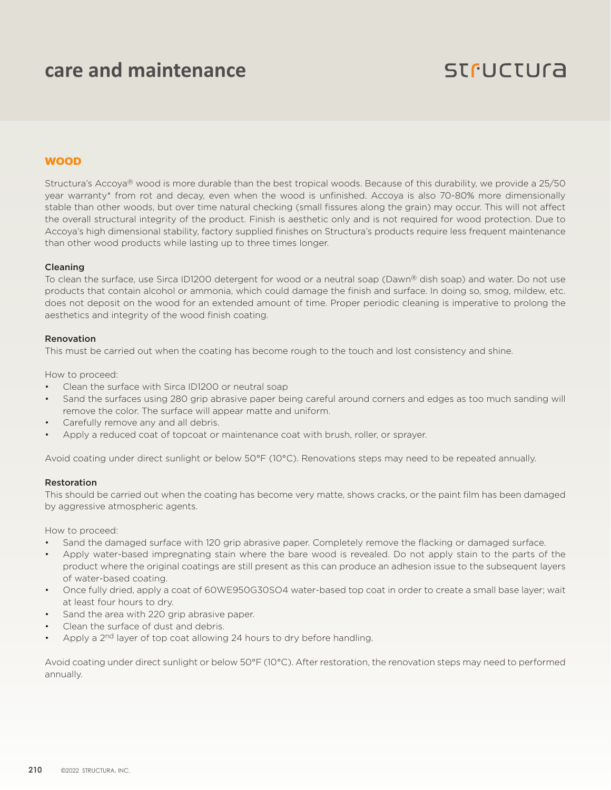# **care and maintenance**

# **STFUCTUra**

# WOOD

Structura's Accoya® wood is more durable than the best tropical woods. Because of this durability, we provide a 25/50 year warranty\* from rot and decay, even when the wood is unfinished. Accoya is also 70-80% more dimensionally stable than other woods, but over time natural checking (small fissures along the grain) may occur. This will not affect the overall structural integrity of the product. Finish is aesthetic only and is not required for wood protection. Due to Accoya's high dimensional stability, factory supplied finishes on Structura's products require less frequent maintenance than other wood products while lasting up to three times longer.

#### Cleaning

To clean the surface, use Sirca ID1200 detergent for wood or a neutral soap (Dawn® dish soap) and water. Do not use products that contain alcohol or ammonia, which could damage the finish and surface. In doing so, smog, mildew, etc. does not deposit on the wood for an extended amount of time. Proper periodic cleaning is imperative to prolong the aesthetics and integrity of the wood finish coating.

#### Renovation

This must be carried out when the coating has become rough to the touch and lost consistency and shine.

How to proceed:

- Clean the surface with Sirca ID1200 or neutral soap
- Sand the surfaces using 280 grip abrasive paper being careful around corners and edges as too much sanding will remove the color. The surface will appear matte and uniform.
- Carefully remove any and all debris.
- Apply a reduced coat of topcoat or maintenance coat with brush, roller, or sprayer.

Avoid coating under direct sunlight or below 50°F (10°C). Renovations steps may need to be repeated annually.

#### Restoration

This should be carried out when the coating has become very matte, shows cracks, or the paint film has been damaged by aggressive atmospheric agents.

How to proceed:

- Sand the damaged surface with 120 grip abrasive paper. Completely remove the flacking or damaged surface.
- Apply water-based impregnating stain where the bare wood is revealed. Do not apply stain to the parts of the product where the original coatings are still present as this can produce an adhesion issue to the subsequent layers of water-based coating.
- Once fully dried, apply a coat of 60WE950G30SO4 water-based top coat in order to create a small base layer; wait at least four hours to dry.
- Sand the area with 220 grip abrasive paper.
- Clean the surface of dust and debris.
- Apply a 2<sup>nd</sup> layer of top coat allowing 24 hours to dry before handling.

Avoid coating under direct sunlight or below 50°F (10°C). After restoration, the renovation steps may need to performed annually.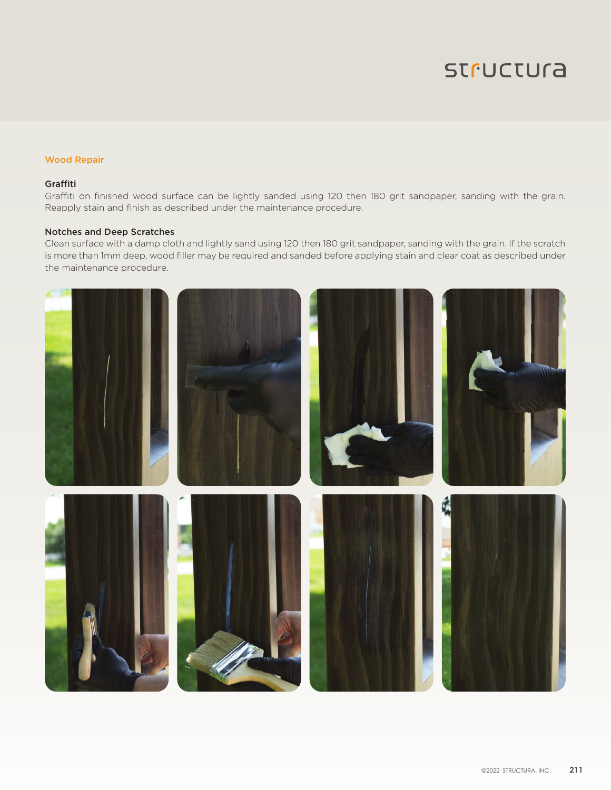# **STFUCTUra**

# Wood Repair

## Graffiti

Graffiti on finished wood surface can be lightly sanded using 120 then 180 grit sandpaper, sanding with the grain. Reapply stain and finish as described under the maintenance procedure.

### Notches and Deep Scratches

Clean surface with a damp cloth and lightly sand using 120 then 180 grit sandpaper, sanding with the grain. If the scratch is more than 1mm deep, wood filler may be required and sanded before applying stain and clear coat as described under the maintenance procedure.